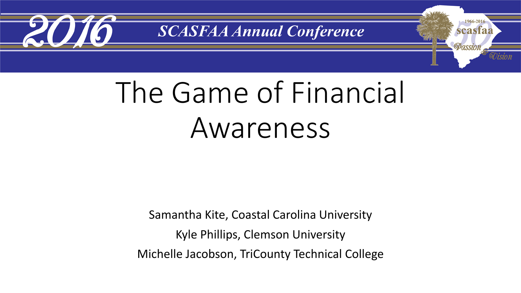

1966-2016

scasfaa

Passion

## The Game of Financial Awareness

Samantha Kite, Coastal Carolina University Kyle Phillips, Clemson University Michelle Jacobson, TriCounty Technical College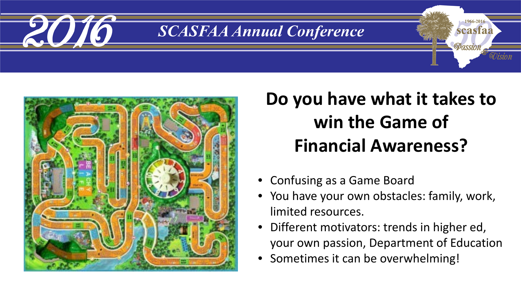



#### **Do you have what it takes to win the Game of Financial Awareness?**

- Confusing as a Game Board
- You have your own obstacles: family, work, limited resources.
- Different motivators: trends in higher ed, your own passion, Department of Education
- Sometimes it can be overwhelming!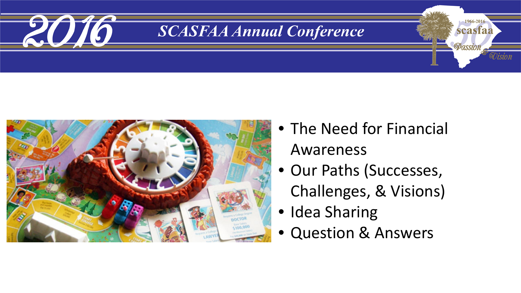



• The Need for Financial Awareness

1966-2016

scasfaa

UISIOI

- Our Paths (Successes, Challenges, & Visions)
- Idea Sharing
- Question & Answers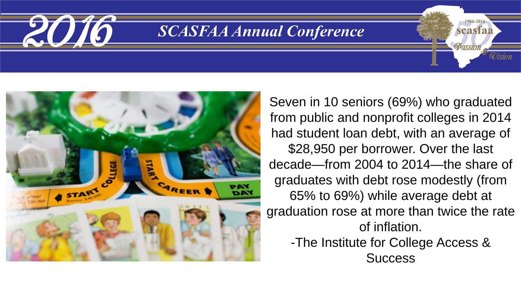



Seven in 10 seniors (69%) who graduated from public and nonprofit colleges in 2014 had student loan debt, with an average of \$28,950 per borrower. Over the last decade—from 2004 to 2014—the share of graduates with debt rose modestly (from 65% to 69%) while average debt at graduation rose at more than twice the rate of inflation.

1966-2010

scasfaa

Passion

-The Institute for College Access & **Success**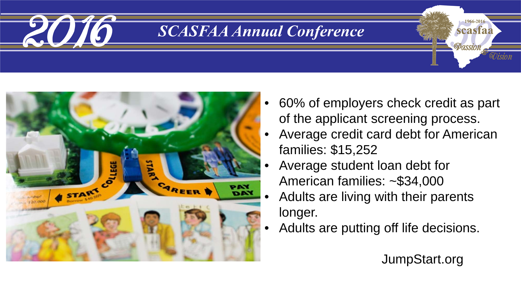



- 60% of employers check credit as part of the applicant screening process.
- Average credit card debt for American families: \$15,252
- Average student loan debt for American families: ~\$34,000
- Adults are living with their parents longer.
- Adults are putting off life decisions.

JumpStart.org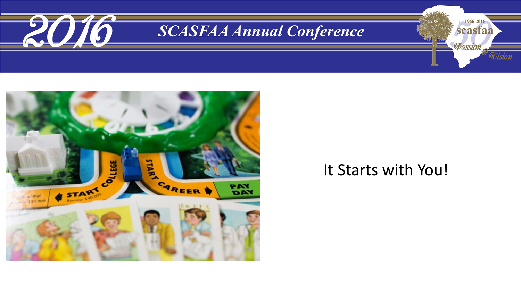



#### It Starts with You!

1966-2016

scasfaa

*OOision*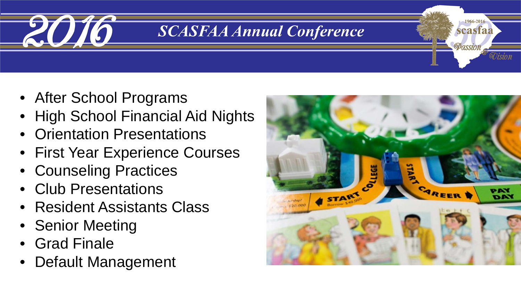

- After School Programs
- High School Financial Aid Nights
- Orientation Presentations
- First Year Experience Courses
- Counseling Practices
- Club Presentations
- Resident Assistants Class
- Senior Meeting
- Grad Finale
- Default Management



scasfaa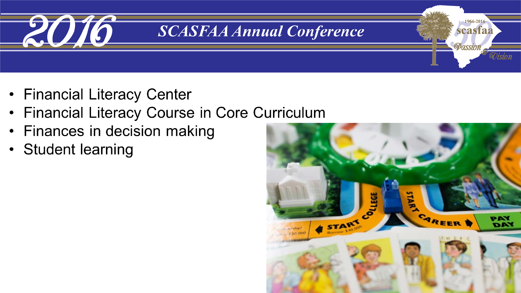![](_page_7_Picture_0.jpeg)

- Financial Literacy Center
- **Financial Literacy Course in Core Curriculum**  $\bullet$
- Finances in decision making  $\bullet$
- Student learning

![](_page_7_Figure_6.jpeg)

1966-2016

scasfaa

90 ision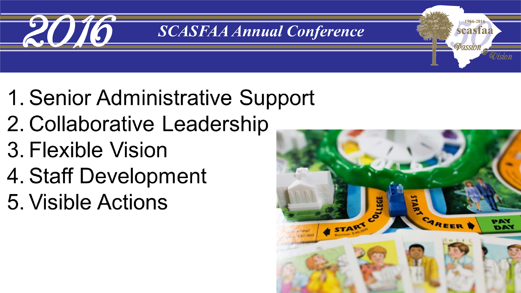![](_page_8_Picture_0.jpeg)

- 1. Senior Administrative Support
- 2. Collaborative Leadership
- 3. Flexible Vision
- 4. Staff Development
- 5. Visible Actions

![](_page_8_Picture_7.jpeg)

1966-201

scasfaa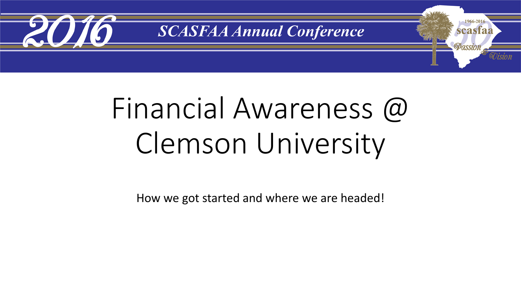![](_page_9_Picture_0.jpeg)

# Financial Awareness @ Clemson University

How we got started and where we are headed!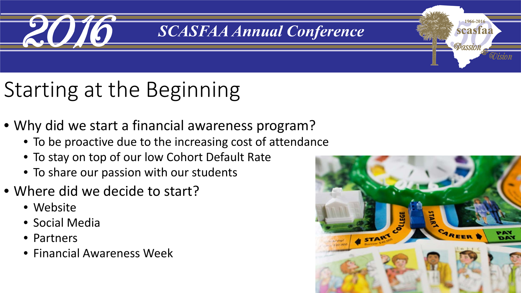![](_page_10_Picture_0.jpeg)

## Starting at the Beginning

- Why did we start a financial awareness program?
	- To be proactive due to the increasing cost of attendance
	- To stay on top of our low Cohort Default Rate
	- To share our passion with our students
- Where did we decide to start?
	- Website
	- Social Media
	- Partners
	- Financial Awareness Week

![](_page_10_Figure_12.jpeg)

1966-2010

scasfaa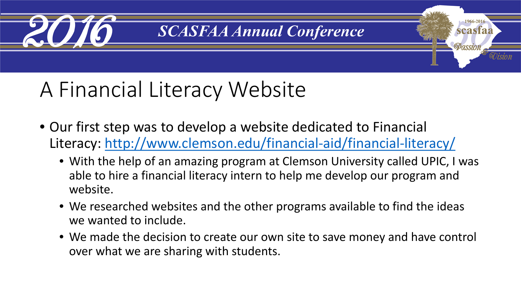![](_page_11_Picture_0.jpeg)

1966-2016

scasfaa

**Passion** 

### A Financial Literacy Website

- Our first step was to develop a website dedicated to Financial Literacy:<http://www.clemson.edu/financial-aid/financial-literacy/>
	- With the help of an amazing program at Clemson University called UPIC, I was able to hire a financial literacy intern to help me develop our program and website.
	- We researched websites and the other programs available to find the ideas we wanted to include.
	- We made the decision to create our own site to save money and have control over what we are sharing with students.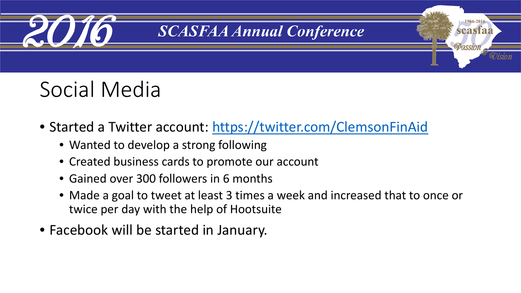![](_page_12_Picture_0.jpeg)

1966-201

scasfaa

Passion

### Social Media

- Started a Twitter account: <https://twitter.com/ClemsonFinAid>
	- Wanted to develop a strong following
	- Created business cards to promote our account
	- Gained over 300 followers in 6 months
	- Made a goal to tweet at least 3 times a week and increased that to once or twice per day with the help of Hootsuite
- Facebook will be started in January.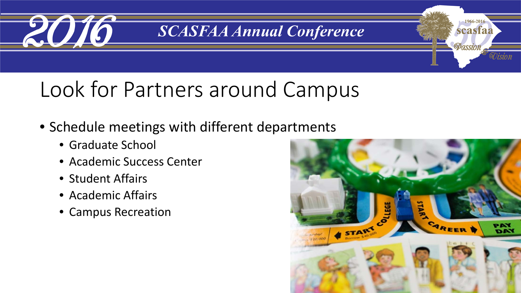![](_page_13_Picture_0.jpeg)

### Look for Partners around Campus

- Schedule meetings with different departments
	- Graduate School
	- Academic Success Center
	- Student Affairs
	- Academic Affairs
	- Campus Recreation

![](_page_13_Picture_9.jpeg)

1966-2016

scasfaa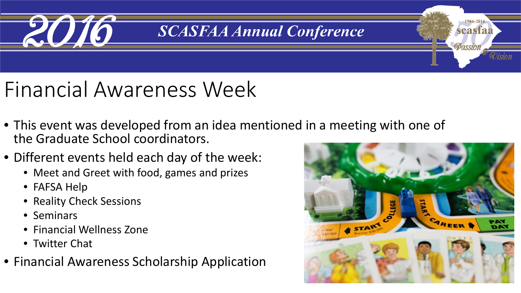![](_page_14_Picture_0.jpeg)

### Financial Awareness Week

- This event was developed from an idea mentioned in a meeting with one of the Graduate School coordinators.
- Different events held each day of the week:
	- Meet and Greet with food, games and prizes
	- FAFSA Help
	- Reality Check Sessions
	- Seminars
	- Financial Wellness Zone
	- Twitter Chat
- Financial Awareness Scholarship Application

![](_page_14_Picture_12.jpeg)

1966-201

scasfaa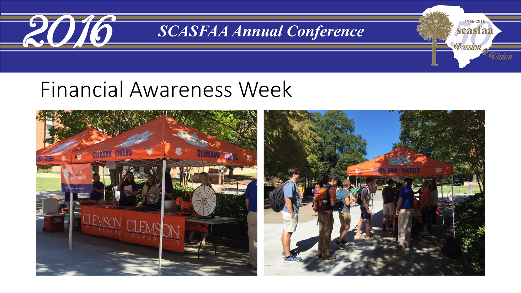![](_page_15_Picture_0.jpeg)

1966-2016

scasfaa

*OO isio n* 

Passion

#### Financial Awareness Week

![](_page_15_Picture_3.jpeg)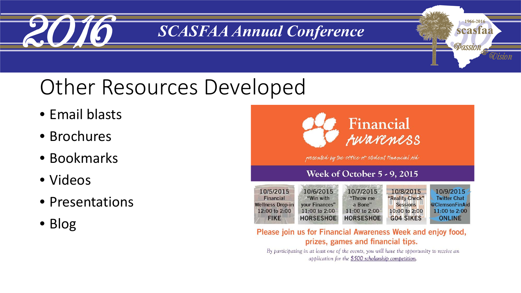![](_page_16_Picture_0.jpeg)

### Other Resources Developed

- Email blasts
- Brochures
- Bookmarks
- Videos
- Presentations
- Blog

![](_page_16_Picture_9.jpeg)

1966-2016

scasfaa

ULSION

**Passion** 

presented by the office of student tinancial fild

#### **Week of October 5 - 9, 2015**

| 10/5/2015<br><b>Financial</b> | 10/6/2015<br>"Win with | 10/7/2015<br>"Throw me | 10/8/2015<br>"Reality Check" | 10/9/2015<br><b>Twitter Chat</b> |
|-------------------------------|------------------------|------------------------|------------------------------|----------------------------------|
| <b>Wellness Drop-in</b>       | your Finances"         | a Bone"                | <b>Sessions</b>              | @ClemsonFinAid                   |
| 12:00 to 2:00                 | 11:00 to 2:00          | 11:00 to 2:00          | 10:00 to 2:00                | 11:00 to 2:00                    |
| <b>FIKE</b>                   | <b>HORSESHOE</b>       | <b>HORSESHOE</b>       | <b>GO4 SIKES</b>             | <b>ONLINE</b>                    |

#### Please join us for Financial Awareness Week and enjoy food, prizes, games and financial tips.

By participating in at least one of the events, you will have the opportunity to receive an application for the \$500 scholarship competition.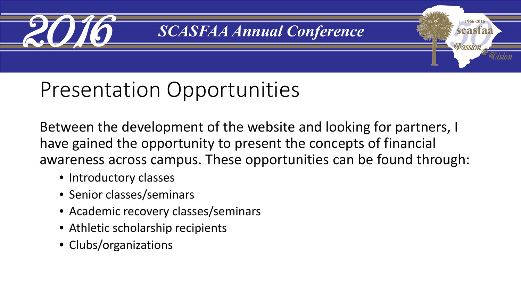![](_page_17_Picture_0.jpeg)

1966-2016

scasfaa

Passion

### Presentation Opportunities

Between the development of the website and looking for partners, I have gained the opportunity to present the concepts of financial awareness across campus. These opportunities can be found through:

- Introductory classes
- Senior classes/seminars
- Academic recovery classes/seminars
- Athletic scholarship recipients
- Clubs/organizations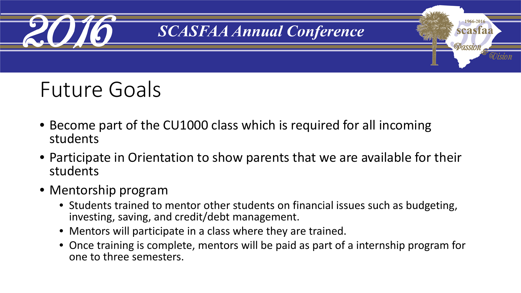![](_page_18_Picture_0.jpeg)

### Future Goals

- Become part of the CU1000 class which is required for all incoming students
- Participate in Orientation to show parents that we are available for their students
- Mentorship program
	- Students trained to mentor other students on financial issues such as budgeting, investing, saving, and credit/debt management.
	- Mentors will participate in a class where they are trained.
	- Once training is complete, mentors will be paid as part of a internship program for one to three semesters.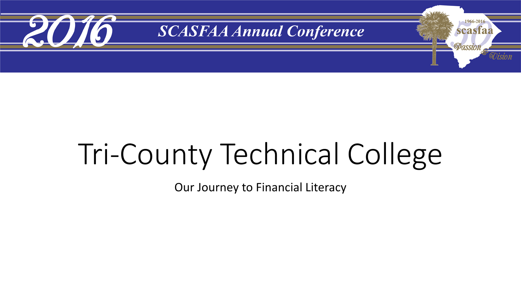![](_page_19_Picture_0.jpeg)

# Tri-County Technical College

Our Journey to Financial Literacy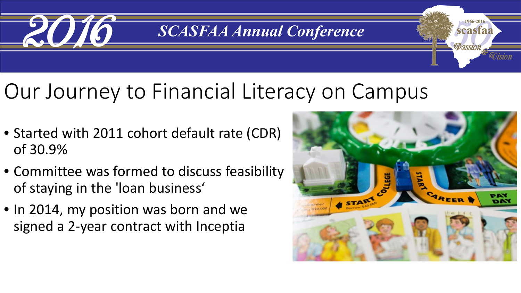![](_page_20_Picture_0.jpeg)

### Our Journey to Financial Literacy on Campus

- Started with 2011 cohort default rate (CDR) of 30.9%
- Committee was formed to discuss feasibility of staying in the 'loan business'
- In 2014, my position was born and we signed a 2-year contract with Inceptia

![](_page_20_Picture_6.jpeg)

1966-201

scasfaa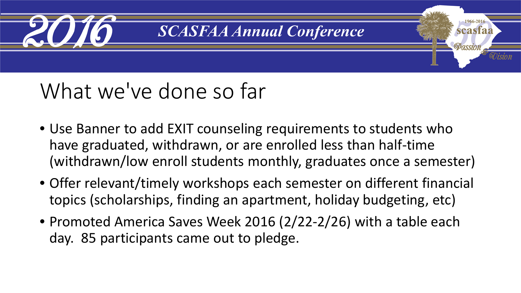![](_page_21_Picture_0.jpeg)

### What we've done so far

- Use Banner to add EXIT counseling requirements to students who have graduated, withdrawn, or are enrolled less than half-time (withdrawn/low enroll students monthly, graduates once a semester)
- Offer relevant/timely workshops each semester on different financial topics (scholarships, finding an apartment, holiday budgeting, etc)
- Promoted America Saves Week 2016 (2/22-2/26) with a table each day. 85 participants came out to pledge.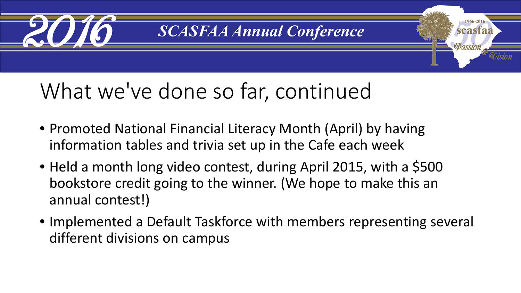![](_page_22_Picture_0.jpeg)

1966-2016

scasfaa

Passion

### What we've done so far, continued

- Promoted National Financial Literacy Month (April) by having information tables and trivia set up in the Cafe each week
- Held a month long video contest, during April 2015, with a \$500 bookstore credit going to the winner. (We hope to make this an annual contest!)
- Implemented a Default Taskforce with members representing several different divisions on campus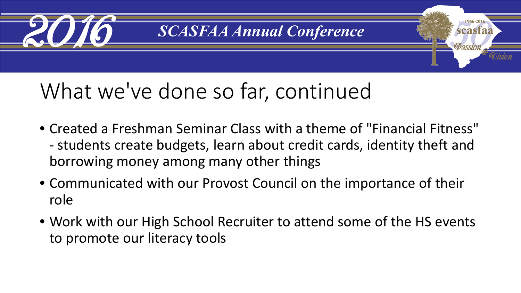![](_page_23_Picture_0.jpeg)

## What we've done so far, continued

- Created a Freshman Seminar Class with a theme of "Financial Fitness" - students create budgets, learn about credit cards, identity theft and borrowing money among many other things
- Communicated with our Provost Council on the importance of their role
- Work with our High School Recruiter to attend some of the HS events to promote our literacy tools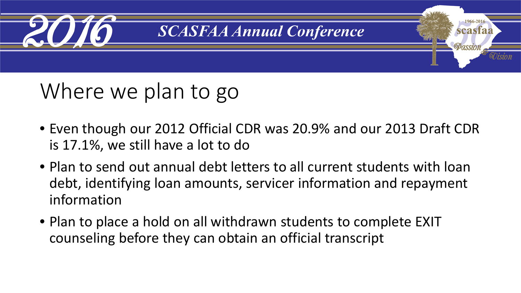![](_page_24_Picture_0.jpeg)

### Where we plan to go

- Even though our 2012 Official CDR was 20.9% and our 2013 Draft CDR is 17.1%, we still have a lot to do
- Plan to send out annual debt letters to all current students with loan debt, identifying loan amounts, servicer information and repayment information
- Plan to place a hold on all withdrawn students to complete EXIT counseling before they can obtain an official transcript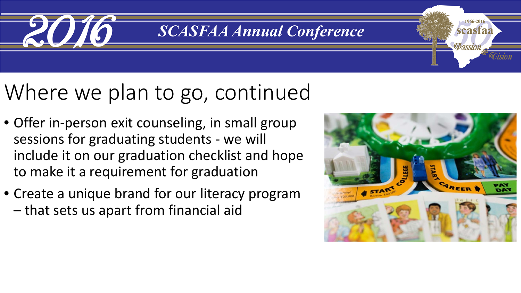![](_page_25_Picture_0.jpeg)

### Where we plan to go, continued

- Offer in-person exit counseling, in small group sessions for graduating students - we will include it on our graduation checklist and hope to make it a requirement for graduation
- Create a unique brand for our literacy program – that sets us apart from financial aid

![](_page_25_Picture_5.jpeg)

1966-201

scasfaa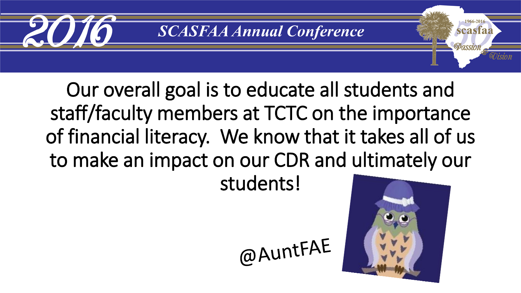![](_page_26_Picture_0.jpeg)

Our overall goal is to educate all students and staff/faculty members at TCTC on the importance of financial literacy. We know that it takes all of us to make an impact on our CDR and ultimately our

students!

@AuntFAE

![](_page_26_Picture_5.jpeg)

1966-201 scasfaa